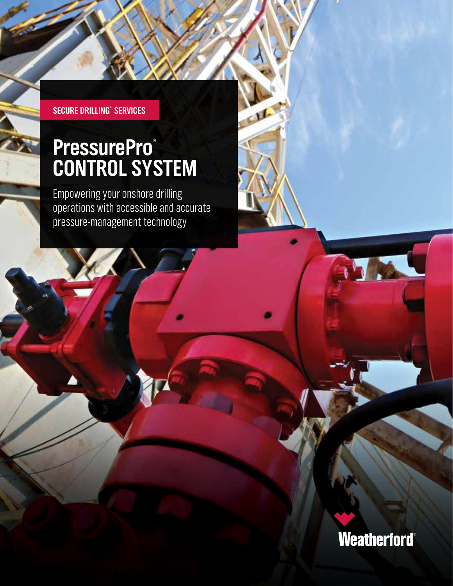**SECURE DRILLING® SERVICES**

## **PressurePro**® **CONTROL SYSTEM**

Empowering your onshore drilling operations with accessible and accurate pressure-management technology

**Weatherford**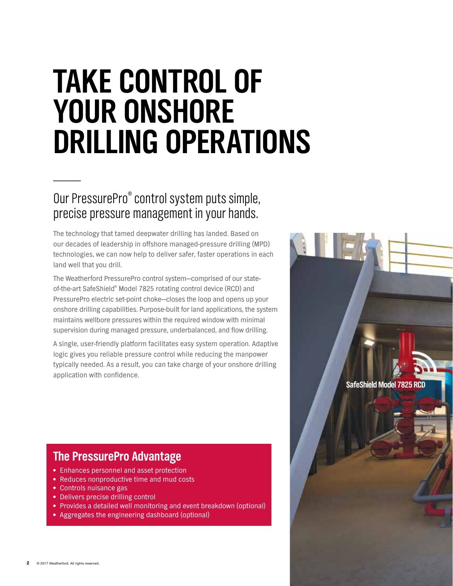# **TAKE CONTROL OF YOUR ONSHORE DRILLING OPERATIONS**

### Our PressurePro® control system puts simple, precise pressure management in your hands.

The technology that tamed deepwater drilling has landed. Based on our decades of leadership in offshore managed-pressure drilling (MPD) technologies, we can now help to deliver safer, faster operations in each land well that you drill.

The Weatherford PressurePro control system—comprised of our stateof-the-art SafeShield® Model 7825 rotating control device (RCD) and PressurePro electric set-point choke—closes the loop and opens up your onshore drilling capabilities. Purpose-built for land applications, the system maintains wellbore pressures within the required window with minimal supervision during managed pressure, underbalanced, and flow drilling.

A single, user-friendly platform facilitates easy system operation. Adaptive logic gives you reliable pressure control while reducing the manpower typically needed. As a result, you can take charge of your onshore drilling application with confidence.

### **The PressurePro Advantage**

- Enhances personnel and asset protection
- Reduces nonproductive time and mud costs
- Controls nuisance gas
- Delivers precise drilling control
- Provides a detailed well monitoring and event breakdown (optional)
- Aggregates the engineering dashboard (optional)

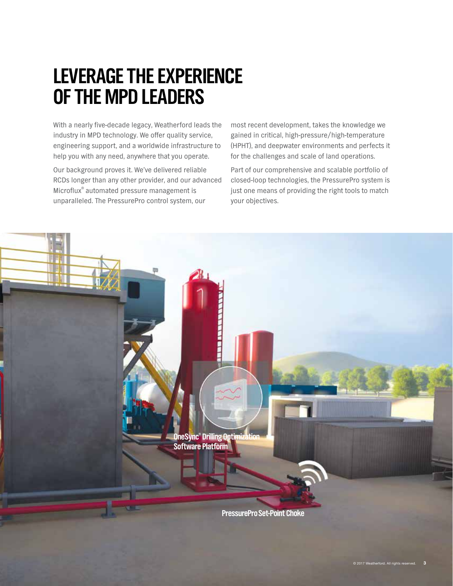## **LEVERAGE THE EXPERIENCE OF THE MPD LEADERS**

With a nearly five-decade legacy, Weatherford leads the industry in MPD technology. We offer quality service, engineering support, and a worldwide infrastructure to help you with any need, anywhere that you operate.

Our background proves it. We've delivered reliable RCDs longer than any other provider, and our advanced Microflux® automated pressure management is unparalleled. The PressurePro control system, our

most recent development, takes the knowledge we gained in critical, high-pressure/high-temperature (HPHT), and deepwater environments and perfects it for the challenges and scale of land operations.

Part of our comprehensive and scalable portfolio of closed-loop technologies, the PressurePro system is just one means of providing the right tools to match your objectives.

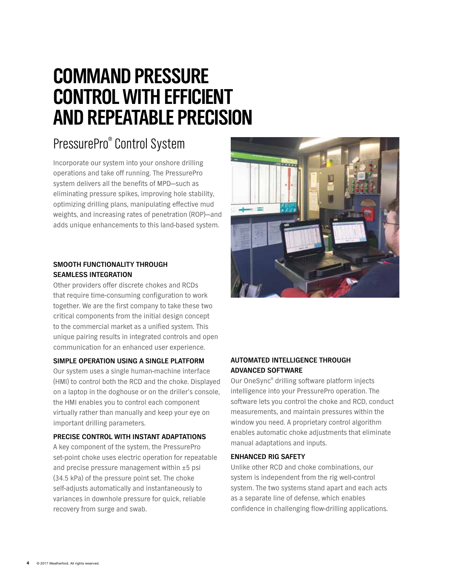## **COMMAND PRESSURE CONTROL WITH EFFICIENT AND REPEATABLE PRECISION**

## PressurePro® Control System

Incorporate our system into your onshore drilling operations and take off running. The PressurePro system delivers all the benefits of MPD—such as eliminating pressure spikes, improving hole stability, optimizing drilling plans, manipulating effective mud weights, and increasing rates of penetration (ROP)—and adds unique enhancements to this land-based system.

#### **SMOOTH FUNCTIONALITY THROUGH SEAMLESS INTEGRATION**

Other providers offer discrete chokes and RCDs that require time-consuming configuration to work together. We are the first company to take these two critical components from the initial design concept to the commercial market as a unified system. This unique pairing results in integrated controls and open communication for an enhanced user experience.

#### **SIMPLE OPERATION USING A SINGLE PLATFORM**

Our system uses a single human-machine interface (HMI) to control both the RCD and the choke. Displayed on a laptop in the doghouse or on the driller's console, the HMI enables you to control each component virtually rather than manually and keep your eye on important drilling parameters.

#### **PRECISE CONTROL WITH INSTANT ADAPTATIONS**

A key component of the system, the PressurePro set-point choke uses electric operation for repeatable and precise pressure management within ±5 psi (34.5 kPa) of the pressure point set. The choke self-adjusts automatically and instantaneously to variances in downhole pressure for quick, reliable recovery from surge and swab.



#### **AUTOMATED INTELLIGENCE THROUGH ADVANCED SOFTWARE**

Our OneSync® drilling software platform injects intelligence into your PressurePro operation. The software lets you control the choke and RCD, conduct measurements, and maintain pressures within the window you need. A proprietary control algorithm enables automatic choke adjustments that eliminate manual adaptations and inputs.

#### **ENHANCED RIG SAFETY**

Unlike other RCD and choke combinations, our system is independent from the rig well-control system. The two systems stand apart and each acts as a separate line of defense, which enables confidence in challenging flow-drilling applications.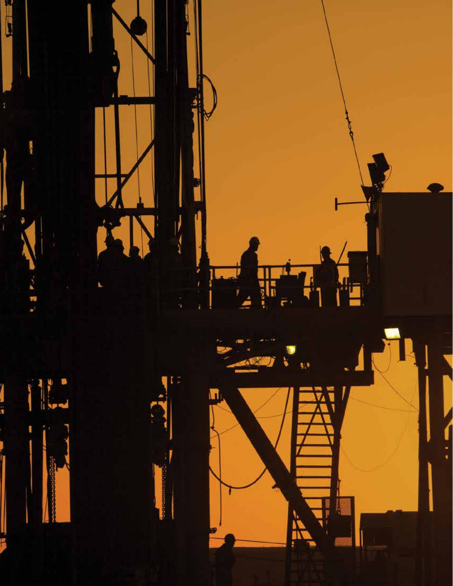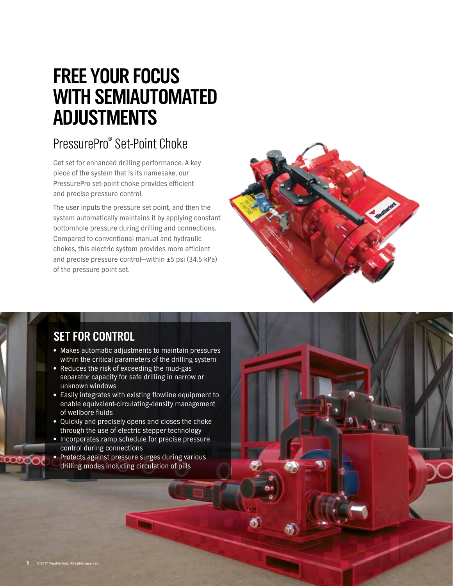## **FREE YOUR FOCUS WITH SEMIAUTOMATED ADJUSTMENTS**

## PressurePro® Set-Point Choke

Get set for enhanced drilling performance. A key piece of the system that is its namesake, our PressurePro set-point choke provides efficient and precise pressure control.

The user inputs the pressure set point, and then the system automatically maintains it by applying constant bottomhole pressure during drilling and connections. Compared to conventional manual and hydraulic chokes, this electric system provides more efficient and precise pressure control—within ±5 psi (34.5 kPa) of the pressure point set.



### **SET FOR CONTROL**

- Makes automatic adjustments to maintain pressures within the critical parameters of the drilling system
- Reduces the risk of exceeding the mud-gas separator capacity for safe drilling in narrow or unknown windows
- Easily integrates with existing flowline equipment to enable equivalent-circulating-density management of wellbore fluids
- Quickly and precisely opens and closes the choke through the use of electric stepper technology
- Incorporates ramp schedule for precise pressure control during connections
- Protects against pressure surges during various drilling modes including circulation of pills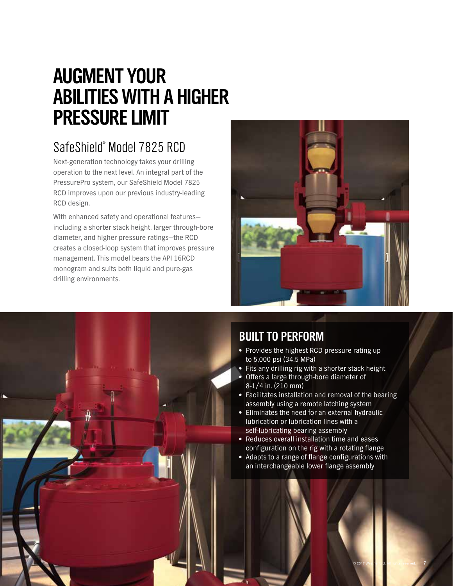## **AUGMENT YOUR ABILITIES WITH A HIGHER PRESSURE LIMIT**

## SafeShield® Model 7825 RCD

Next-generation technology takes your drilling operation to the next level. An integral part of the PressurePro system, our SafeShield Model 7825 RCD improves upon our previous industry-leading RCD design.

With enhanced safety and operational features including a shorter stack height, larger through-bore diameter, and higher pressure ratings—the RCD creates a closed-loop system that improves pressure management. This model bears the API 16RCD monogram and suits both liquid and pure-gas drilling environments.



### **BUILT TO PERFORM**

- Provides the highest RCD pressure rating up to 5,000 psi (34.5 MPa)
- Fits any drilling rig with a shorter stack height
- Offers a large through-bore diameter of 8-1/4 in. (210 mm)
- Facilitates installation and removal of the bearing assembly using a remote latching system
- Eliminates the need for an external hydraulic lubrication or lubrication lines with a self-lubricating bearing assembly
- Reduces overall installation time and eases configuration on the rig with a rotating flange
- Adapts to a range of flange configurations with an interchangeable lower flange assembly

© 2017 Weatherford. All rights reserved. **7**